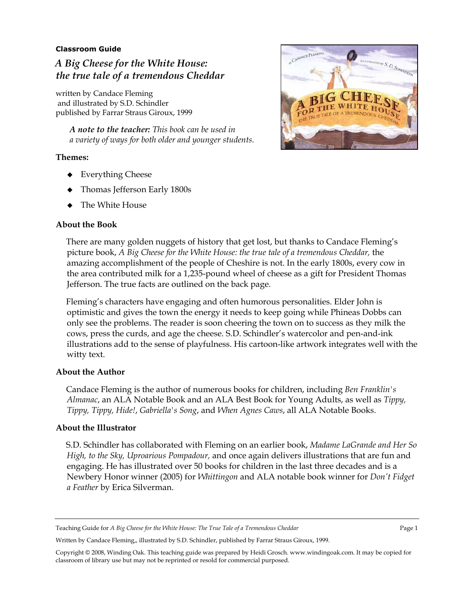### **Classroom Guide**

# *A Big Cheese for the White House: the true tale of a tremendous Cheddar*

written by Candace Fleming and illustrated by S.D. Schindler published by Farrar Straus Giroux, 1999

> *A note to the teacher: This book can be used in a variety of ways for both older and younger students.*

#### **Themes:**

- ◆ Everything Cheese
- Thomas Jefferson Early 1800s
- The White House

### **About the Book**



There are many golden nuggets of history that get lost, but thanks to Candace Fleming's picture book, *A Big Cheese for the White House: the true tale of a tremendous Cheddar,* the amazing accomplishment of the people of Cheshire is not. In the early 1800s, every cow in the area contributed milk for a 1,235-pound wheel of cheese as a gift for President Thomas Jefferson. The true facts are outlined on the back page.

Fleming's characters have engaging and often humorous personalities. Elder John is optimistic and gives the town the energy it needs to keep going while Phineas Dobbs can only see the problems. The reader is soon cheering the town on to success as they milk the cows, press the curds, and age the cheese. S.D. Schindler's watercolor and pen-and-ink illustrations add to the sense of playfulness. His cartoon-like artwork integrates well with the witty text.

### **About the Author**

Candace Fleming is the author of numerous books for children, including *Ben Franklin's Almanac*, an ALA Notable Book and an ALA Best Book for Young Adults, as well as *Tippy, Tippy, Tippy, Hide!*, *Gabriella's Song*, and *When Agnes Caws*, all ALA Notable Books.

#### **About the Illustrator**

S.D. Schindler has collaborated with Fleming on an earlier book, *Madame LaGrande and Her So High, to the Sky, Uproarious Pompadour,* and once again delivers illustrations that are fun and engaging. He has illustrated over 50 books for children in the last three decades and is a Newbery Honor winner (2005) for *Whittingon* and ALA notable book winner for *Don't Fidget a Feather* by Erica Silverman.

Written by Candace Fleming,, illustrated by S.D. Schindler, published by Farrar Straus Giroux, 1999.

Teaching Guide for *A Big Cheese for the White House: The True Tale of a Tremendous Cheddar* Page 1

Copyright © 2008, Winding Oak. This teaching guide was prepared by Heidi Grosch. www.windingoak.com. It may be copied for classroom of library use but may not be reprinted or resold for commercial purposed.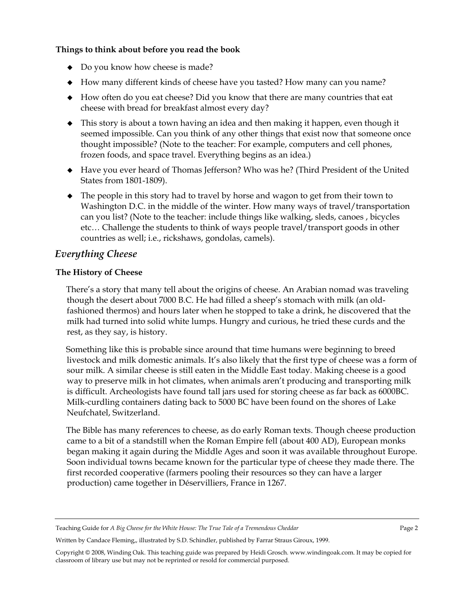# **Things to think about before you read the book**

- Do you know how cheese is made?
- How many different kinds of cheese have you tasted? How many can you name?
- How often do you eat cheese? Did you know that there are many countries that eat cheese with bread for breakfast almost every day?
- This story is about a town having an idea and then making it happen, even though it seemed impossible. Can you think of any other things that exist now that someone once thought impossible? (Note to the teacher: For example, computers and cell phones, frozen foods, and space travel. Everything begins as an idea.)
- Have you ever heard of Thomas Jefferson? Who was he? (Third President of the United States from 1801-1809).
- The people in this story had to travel by horse and wagon to get from their town to Washington D.C. in the middle of the winter. How many ways of travel/transportation can you list? (Note to the teacher: include things like walking, sleds, canoes , bicycles etc… Challenge the students to think of ways people travel/transport goods in other countries as well; i.e., rickshaws, gondolas, camels).

# *Everything Cheese*

# **The History of Cheese**

There's a story that many tell about the origins of cheese. An Arabian nomad was traveling though the desert about 7000 B.C. He had filled a sheep's stomach with milk (an oldfashioned thermos) and hours later when he stopped to take a drink, he discovered that the milk had turned into solid white lumps. Hungry and curious, he tried these curds and the rest, as they say, is history.

Something like this is probable since around that time humans were beginning to breed livestock and milk domestic animals. It's also likely that the first type of cheese was a form of sour milk. A similar cheese is still eaten in the Middle East today. Making cheese is a good way to preserve milk in hot climates, when animals aren't producing and transporting milk is difficult. Archeologists have found tall jars used for storing cheese as far back as 6000BC. Milk-curdling containers dating back to 5000 BC have been found on the shores of Lake Neufchatel, Switzerland.

The Bible has many references to cheese, as do early Roman texts. Though cheese production came to a bit of a standstill when the Roman Empire fell (about 400 AD), European monks began making it again during the Middle Ages and soon it was available throughout Europe. Soon individual towns became known for the particular type of cheese they made there. The first recorded cooperative (farmers pooling their resources so they can have a larger production) came together in Déservilliers, France in 1267.

Teaching Guide for *A Big Cheese for the White House: The True Tale of a Tremendous Cheddar* Page 2

Written by Candace Fleming,, illustrated by S.D. Schindler, published by Farrar Straus Giroux, 1999.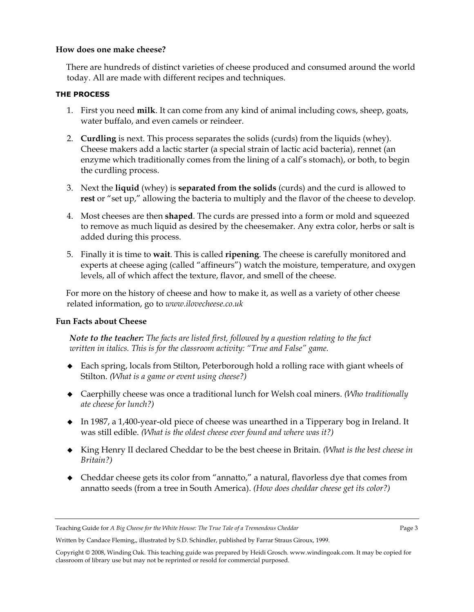### **How does one make cheese?**

There are hundreds of distinct varieties of cheese produced and consumed around the world today. All are made with different recipes and techniques.

# **THE PROCESS**

- 1. First you need **milk**. It can come from any kind of animal including cows, sheep, goats, water buffalo, and even camels or reindeer.
- 2. **Curdling** is next. This process separates the solids (curds) from the liquids (whey). Cheese makers add a lactic starter (a special strain of lactic acid bacteria), rennet (an enzyme which traditionally comes from the lining of a calf's stomach), or both, to begin the curdling process.
- 3. Next the **liquid** (whey) is **separated from the solids** (curds) and the curd is allowed to **rest** or "set up," allowing the bacteria to multiply and the flavor of the cheese to develop.
- 4. Most cheeses are then **shaped**. The curds are pressed into a form or mold and squeezed to remove as much liquid as desired by the cheesemaker. Any extra color, herbs or salt is added during this process.
- 5. Finally it is time to **wait**. This is called **ripening**. The cheese is carefully monitored and experts at cheese aging (called "affineurs") watch the moisture, temperature, and oxygen levels, all of which affect the texture, flavor, and smell of the cheese.

For more on the history of cheese and how to make it, as well as a variety of other cheese related information, go to *www.ilovecheese.co.uk*

# **Fun Facts about Cheese**

*Note to the teacher: The facts are listed first, followed by a question relating to the fact written in italics. This is for the classroom activity: "True and False" game.* 

- Each spring, locals from Stilton, Peterborough hold a rolling race with giant wheels of Stilton. *(What is a game or event using cheese?)*
- Caerphilly cheese was once a traditional lunch for Welsh coal miners. *(Who traditionally ate cheese for lunch?)*
- In 1987, a 1,400-year-old piece of cheese was unearthed in a Tipperary bog in Ireland. It was still edible. *(What is the oldest cheese ever found and where was it?)*
- King Henry II declared Cheddar to be the best cheese in Britain. *(What is the best cheese in Britain?)*
- Cheddar cheese gets its color from "annatto," a natural, flavorless dye that comes from annatto seeds (from a tree in South America). *(How does cheddar cheese get its color?)*

Written by Candace Fleming,, illustrated by S.D. Schindler, published by Farrar Straus Giroux, 1999.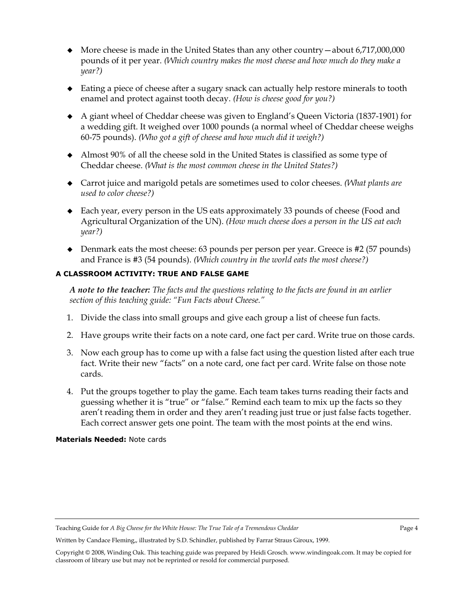- More cheese is made in the United States than any other country—about 6,717,000,000 pounds of it per year. *(Which country makes the most cheese and how much do they make a year?)*
- Eating a piece of cheese after a sugary snack can actually help restore minerals to tooth enamel and protect against tooth decay. *(How is cheese good for you?)*
- A giant wheel of Cheddar cheese was given to England's Queen Victoria (1837-1901) for a wedding gift. It weighed over 1000 pounds (a normal wheel of Cheddar cheese weighs 60-75 pounds). *(Who got a gift of cheese and how much did it weigh?)*
- Almost 90% of all the cheese sold in the United States is classified as some type of Cheddar cheese. *(What is the most common cheese in the United States?)*
- Carrot juice and marigold petals are sometimes used to color cheeses. *(What plants are used to color cheese?)*
- Each year, every person in the US eats approximately 33 pounds of cheese (Food and Agricultural Organization of the UN). *(How much cheese does a person in the US eat each year?)*
- Denmark eats the most cheese: 63 pounds per person per year. Greece is #2 (57 pounds) and France is #3 (54 pounds). *(Which country in the world eats the most cheese?)*

# **A CLASSROOM ACTIVITY: TRUE AND FALSE GAME**

*A note to the teacher: The facts and the questions relating to the facts are found in an earlier section of this teaching guide: "Fun Facts about Cheese."* 

- 1. Divide the class into small groups and give each group a list of cheese fun facts.
- 2. Have groups write their facts on a note card, one fact per card. Write true on those cards.
- 3. Now each group has to come up with a false fact using the question listed after each true fact. Write their new "facts" on a note card, one fact per card. Write false on those note cards.
- 4. Put the groups together to play the game. Each team takes turns reading their facts and guessing whether it is "true" or "false." Remind each team to mix up the facts so they aren't reading them in order and they aren't reading just true or just false facts together. Each correct answer gets one point. The team with the most points at the end wins.

### **Materials Needed:** Note cards

Written by Candace Fleming,, illustrated by S.D. Schindler, published by Farrar Straus Giroux, 1999.

Teaching Guide for *A Big Cheese for the White House: The True Tale of a Tremendous Cheddar* Page 4

Copyright © 2008, Winding Oak. This teaching guide was prepared by Heidi Grosch. www.windingoak.com. It may be copied for classroom of library use but may not be reprinted or resold for commercial purposed.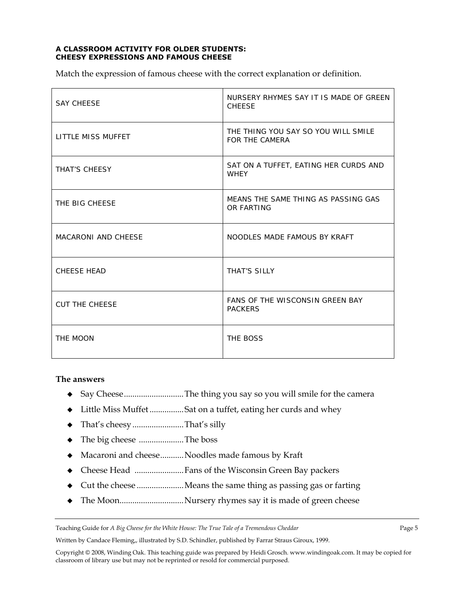#### **A CLASSROOM ACTIVITY FOR OLDER STUDENTS: CHEESY EXPRESSIONS AND FAMOUS CHEESE**

Match the expression of famous cheese with the correct explanation or definition.

| <b>SAY CHEESE</b>          | NURSERY RHYMES SAY IT IS MADE OF GREEN<br><b>CHEESE</b>  |
|----------------------------|----------------------------------------------------------|
| LITTLE MISS MUFFET         | THE THING YOU SAY SO YOU WILL SMILE<br>FOR THE CAMERA    |
| THAT'S CHEESY              | SAT ON A TUFFET, EATING HER CURDS AND<br><b>WHEY</b>     |
| THE BIG CHEESE             | MEANS THE SAME THING AS PASSING GAS<br>OR FARTING        |
| <b>MACARONI AND CHEESE</b> | NOODLES MADE FAMOUS BY KRAFT                             |
| <b>CHEESE HEAD</b>         | THAT'S SILLY                                             |
| <b>CUT THE CHEESE</b>      | <b>FANS OF THE WISCONSIN GREEN BAY</b><br><b>PACKERS</b> |
| THE MOON                   | THE BOSS                                                 |

### **The answers**

- Say Cheese ............................ The thing you say so you will smile for the camera
- Little Miss Muffet ................ Sat on a tuffet, eating her curds and whey
- That's cheesy ........................ That's silly
- The big cheese ..................... The boss
- Macaroni and cheese ........... Noodles made famous by Kraft
- Cheese Head ....................... Fans of the Wisconsin Green Bay packers
- Cut the cheese ...................... Means the same thing as passing gas or farting
- The Moon...............................Nursery rhymes say it is made of green cheese

Teaching Guide for *A Big Cheese for the White House: The True Tale of a Tremendous Cheddar* Page 5

Written by Candace Fleming,, illustrated by S.D. Schindler, published by Farrar Straus Giroux, 1999.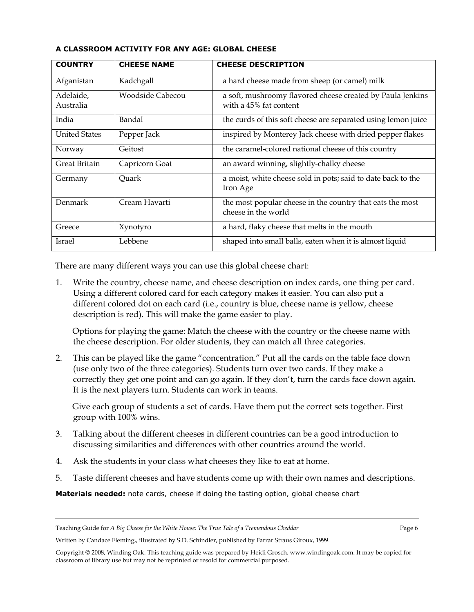| <b>COUNTRY</b>         | <b>CHEESE NAME</b> | <b>CHEESE DESCRIPTION</b>                                                            |
|------------------------|--------------------|--------------------------------------------------------------------------------------|
| Afganistan             | Kadchgall          | a hard cheese made from sheep (or camel) milk                                        |
| Adelaide,<br>Australia | Woodside Cabecou   | a soft, mushroomy flavored cheese created by Paula Jenkins<br>with a 45% fat content |
| India                  | Bandal             | the curds of this soft cheese are separated using lemon juice                        |
| <b>United States</b>   | Pepper Jack        | inspired by Monterey Jack cheese with dried pepper flakes                            |
| Norway                 | Geitost            | the caramel-colored national cheese of this country                                  |
| Great Britain          | Capricorn Goat     | an award winning, slightly-chalky cheese                                             |
| Germany                | Ouark              | a moist, white cheese sold in pots; said to date back to the<br>Iron Age             |
| Denmark                | Cream Havarti      | the most popular cheese in the country that eats the most<br>cheese in the world     |
| Greece                 | Xynotyro           | a hard, flaky cheese that melts in the mouth                                         |
| Israel                 | Lebbene            | shaped into small balls, eaten when it is almost liquid                              |

### **A CLASSROOM ACTIVITY FOR ANY AGE: GLOBAL CHEESE**

There are many different ways you can use this global cheese chart:

1. Write the country, cheese name, and cheese description on index cards, one thing per card. Using a different colored card for each category makes it easier. You can also put a different colored dot on each card (i.e., country is blue, cheese name is yellow, cheese description is red). This will make the game easier to play.

Options for playing the game: Match the cheese with the country or the cheese name with the cheese description. For older students, they can match all three categories.

2. This can be played like the game "concentration." Put all the cards on the table face down (use only two of the three categories). Students turn over two cards. If they make a correctly they get one point and can go again. If they don't, turn the cards face down again. It is the next players turn. Students can work in teams.

Give each group of students a set of cards. Have them put the correct sets together. First group with 100% wins.

- 3. Talking about the different cheeses in different countries can be a good introduction to discussing similarities and differences with other countries around the world.
- 4. Ask the students in your class what cheeses they like to eat at home.
- 5. Taste different cheeses and have students come up with their own names and descriptions.

**Materials needed:** note cards, cheese if doing the tasting option, global cheese chart

Written by Candace Fleming,, illustrated by S.D. Schindler, published by Farrar Straus Giroux, 1999.

Teaching Guide for *A Big Cheese for the White House: The True Tale of a Tremendous Cheddar* Page 6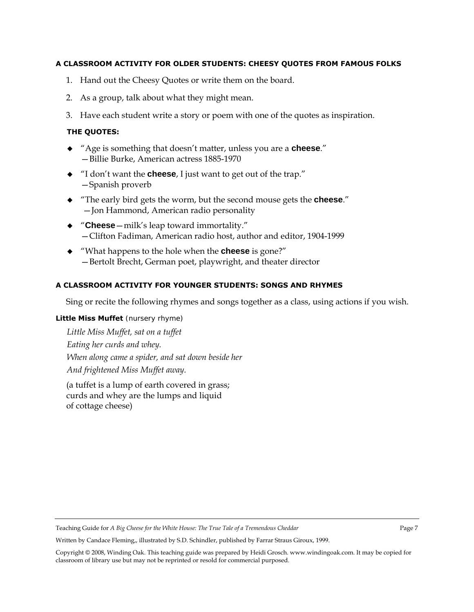### **A CLASSROOM ACTIVITY FOR OLDER STUDENTS: CHEESY QUOTES FROM FAMOUS FOLKS**

- 1. Hand out the Cheesy Quotes or write them on the board.
- 2. As a group, talk about what they might mean.
- 3. Have each student write a story or poem with one of the quotes as inspiration.

# **THE QUOTES:**

- "[Age is something that doesn't matter, unless you are a](http://thinkexist.com/quotation/age_is_something_that_doesn-t_matter-unless_you/170033.html) **cheese**." —Billie Burke, American actress 1885-1970
- "I don't want the **cheese**[, I just want to get out of the trap.](http://thinkexist.com/quotation/i_don-t_want_the_cheese-i_just_want_to_get_out_of/157840.html)" —Spanish proverb
- "[The early bird gets the worm, but the second mouse gets the](http://thinkexist.com/quotation/the_early_bird_gets_the_worm-but_the_second_mouse/211782.html) **cheese**." —Jon Hammond, American radio personality
- "**Cheese**[—milk's leap toward immortality.](http://thinkexist.com/quotation/cheese-milk-s_leap_toward_immortality/201334.html)" —Clifton Fadiman, American radio host, author and editor, 1904-1999
- "What happens to the hole when the **cheese** is gone?" —Bertolt Brecht, German poet, playwright, and theater director

# **A CLASSROOM ACTIVITY FOR YOUNGER STUDENTS: SONGS AND RHYMES**

Sing or recite the following rhymes and songs together as a class, using actions if you wish.

### **Little Miss Muffet** (nursery rhyme)

*Little Miss Muffet, sat on a tuffet Eating her curds and whey. When along came a spider, and sat down beside her And frightened Miss Muffet away.* 

(a tuffet is a lump of earth covered in grass; curds and whey are the lumps and liquid of cottage cheese)

Teaching Guide for *A Big Cheese for the White House: The True Tale of a Tremendous Cheddar* Page 7

Written by Candace Fleming,, illustrated by S.D. Schindler, published by Farrar Straus Giroux, 1999.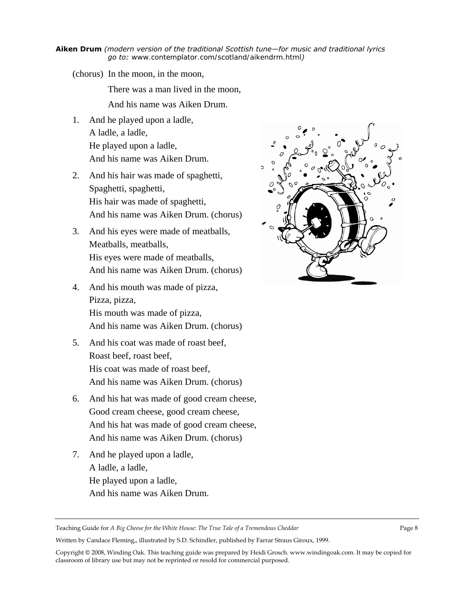#### **Aiken Drum** *(modern version of the traditional Scottish tune—for music and traditional lyrics go to:* [www.contemplator.com/scotland/aikendrm.html](http://www.contemplator.com/scotland/aikendrm.html)*)*

(chorus) In the moon, in the moon,

There was a man lived in the moon,

And his name was Aiken Drum.

- 1. And he played upon a ladle, A ladle, a ladle, He played upon a ladle, And his name was Aiken Drum.
- 2. And his hair was made of spaghetti, Spaghetti, spaghetti, His hair was made of spaghetti, And his name was Aiken Drum. (chorus)
- 3. And his eyes were made of meatballs, Meatballs, meatballs, His eyes were made of meatballs, And his name was Aiken Drum. (chorus)
- 4. And his mouth was made of pizza, Pizza, pizza, His mouth was made of pizza, And his name was Aiken Drum. (chorus)
- 5. And his coat was made of roast beef, Roast beef, roast beef, His coat was made of roast beef, And his name was Aiken Drum. (chorus)
- 6. And his hat was made of good cream cheese, Good cream cheese, good cream cheese, And his hat was made of good cream cheese, And his name was Aiken Drum. (chorus)
- 7. And he played upon a ladle, A ladle, a ladle, He played upon a ladle, And his name was Aiken Drum.



Teaching Guide for *A Big Cheese for the White House: The True Tale of a Tremendous Cheddar* Page 8

Written by Candace Fleming,, illustrated by S.D. Schindler, published by Farrar Straus Giroux, 1999.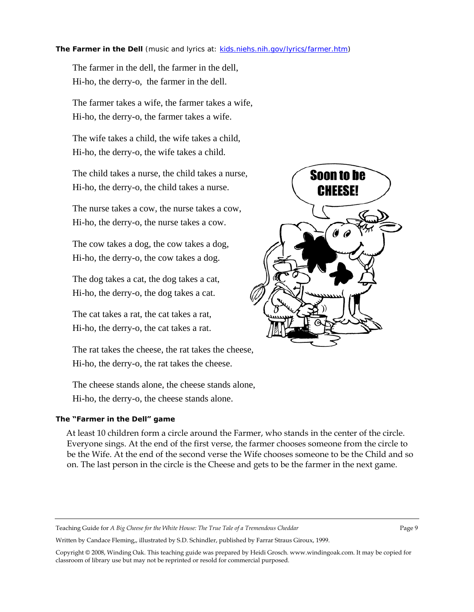#### **The Farmer in the Dell** (music and lyrics at: kids.niehs.nih.gov/lyrics/farmer.htm)

The farmer in the dell, the farmer in the dell, Hi-ho, the derry-o, the farmer in the dell.

The farmer takes a wife, the farmer takes a wife, Hi-ho, the derry-o, the farmer takes a wife.

The wife takes a child, the wife takes a child, Hi-ho, the derry-o, the wife takes a child.

The child takes a nurse, the child takes a nurse, Hi-ho, the derry-o, the child takes a nurse.

The nurse takes a cow, the nurse takes a cow, Hi-ho, the derry-o, the nurse takes a cow.

The cow takes a dog, the cow takes a dog, Hi-ho, the derry-o, the cow takes a dog.

The dog takes a cat, the dog takes a cat, Hi-ho, the derry-o, the dog takes a cat.

The cat takes a rat, the cat takes a rat, Hi-ho, the derry-o, the cat takes a rat.

The rat takes the cheese, the rat takes the cheese, Hi-ho, the derry-o, the rat takes the cheese.

The cheese stands alone, the cheese stands alone, Hi-ho, the derry-o, the cheese stands alone.

### **The "Farmer in the Dell" game**

At least 10 children form a circle around the Farmer, who stands in the center of the circle. Everyone sings. At the end of the first verse, the farmer chooses someone from the circle to be the Wife. At the end of the second verse the Wife chooses someone to be the Child and so on. The last person in the circle is the Cheese and gets to be the farmer in the next game.

Teaching Guide for *A Big Cheese for the White House: The True Tale of a Tremendous Cheddar* Page 9

Written by Candace Fleming,, illustrated by S.D. Schindler, published by Farrar Straus Giroux, 1999.

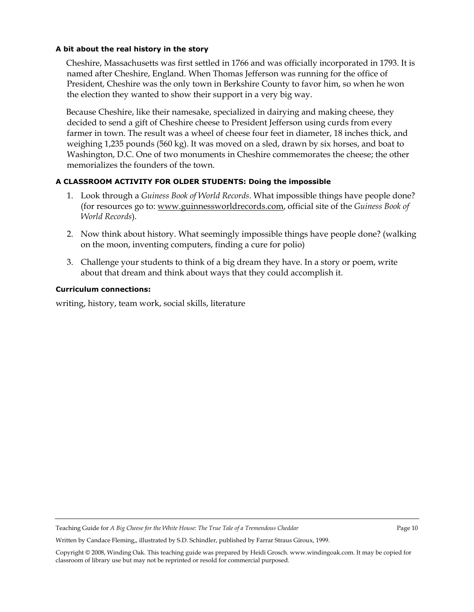# **A bit about the real history in the story**

Cheshire, Massachusetts was first settled in 1766 and was officially incorporated in 1793. It is named after [Cheshire](http://en.wikipedia.org/wiki/Cheshire), [England.](http://en.wikipedia.org/wiki/England) When Thomas Jefferson was running for the office of President, Cheshire was the only town in Berkshire County to favor him, so when he won the election they wanted to show their support in a very big way.

Because Cheshire, like their namesake, specialized in dairying and making cheese, they decided to send a gift of Cheshire cheese to President Jefferson using curds from every farmer in town. The [result was a wheel of cheese](http://en.wikipedia.org/wiki/Cheshire_Mammoth_Cheese) four feet in diameter, 18 inches thick, and weighing 1,235 pounds (560 kg). It was moved on a sled, drawn by six horses, and boat to [Washington, D.C.](http://en.wikipedia.org/wiki/Washington%2C_D.C.) One of two monuments in Cheshire commemorates the cheese; the other memorializes the founders of the town.

# **A CLASSROOM ACTIVITY FOR OLDER STUDENTS: Doing the impossible**

- 1. Look through a *Guiness Book of World Records*. What impossible things have people done? (for resources go to: [www.guinnessworldrecords.com](http://www.guinnessworldrecords.com/), official site of the *Guiness Book of World Records*).
- 2. Now think about history. What seemingly impossible things have people done? (walking on the moon, inventing computers, finding a cure for polio)
- 3. Challenge your students to think of a big dream they have. In a story or poem, write about that dream and think about ways that they could accomplish it.

### **Curriculum connections:**

writing, history, team work, social skills, literature

Teaching Guide for *A Big Cheese for the White House: The True Tale of a Tremendous Cheddar* Page 10

Written by Candace Fleming,, illustrated by S.D. Schindler, published by Farrar Straus Giroux, 1999.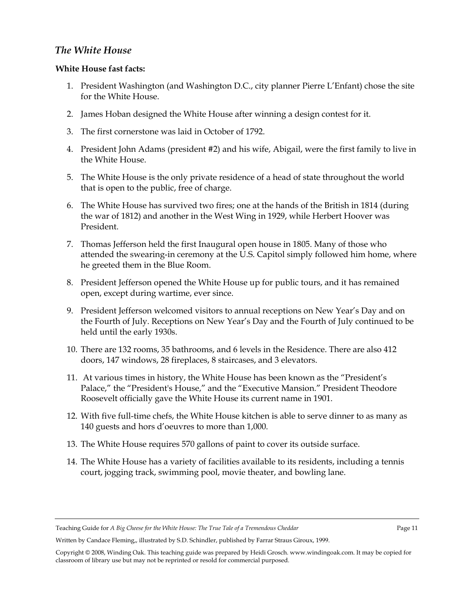# *The White House*

# **White House fast facts:**

- 1. President Washington (and Washington D.C., city planner Pierre L'Enfant) chose the site for the White House.
- 2. James Hoban designed the White House after winning a design contest for it.
- 3. The first cornerstone was laid in October of 1792.
- 4. President John Adams (president #2) and his wife, Abigail, were the first family to live in the White House.
- 5. The White House is the only private residence of a head of state throughout the world that is open to the public, free of charge.
- 6. The White House has survived two fires; one at the hands of the British in 1814 (during the war of 1812) and another in the West Wing in 1929, while Herbert Hoover was President.
- 7. Thomas Jefferson held the first Inaugural open house in 1805. Many of those who attended the swearing-in ceremony at the U.S. Capitol simply followed him home, where he greeted them in the Blue Room.
- 8. President Jefferson opened the White House up for public tours, and it has remained open, except during wartime, ever since.
- 9. President Jefferson welcomed visitors to annual receptions on New Year's Day and on the Fourth of July. Receptions on New Year's Day and the Fourth of July continued to be held until the early 1930s.
- 10. There are 132 rooms, 35 bathrooms, and 6 levels in the Residence. There are also 412 doors, 147 windows, 28 fireplaces, 8 staircases, and 3 elevators.
- 11. At various times in history, the White House has been known as the "President's Palace," the "President's House," and the "Executive Mansion." President Theodore Roosevelt officially gave the White House its current name in 1901.
- 12. With five full-time chefs, the White House kitchen is able to serve dinner to as many as 140 guests and hors d'oeuvres to more than 1,000.
- 13. The White House requires 570 gallons of paint to cover its outside surface.
- 14. The White House has a variety of facilities available to its residents, including a tennis court, jogging track, swimming pool, movie theater, and bowling lane.

Teaching Guide for *A Big Cheese for the White House: The True Tale of a Tremendous Cheddar* Page 11

Written by Candace Fleming,, illustrated by S.D. Schindler, published by Farrar Straus Giroux, 1999.